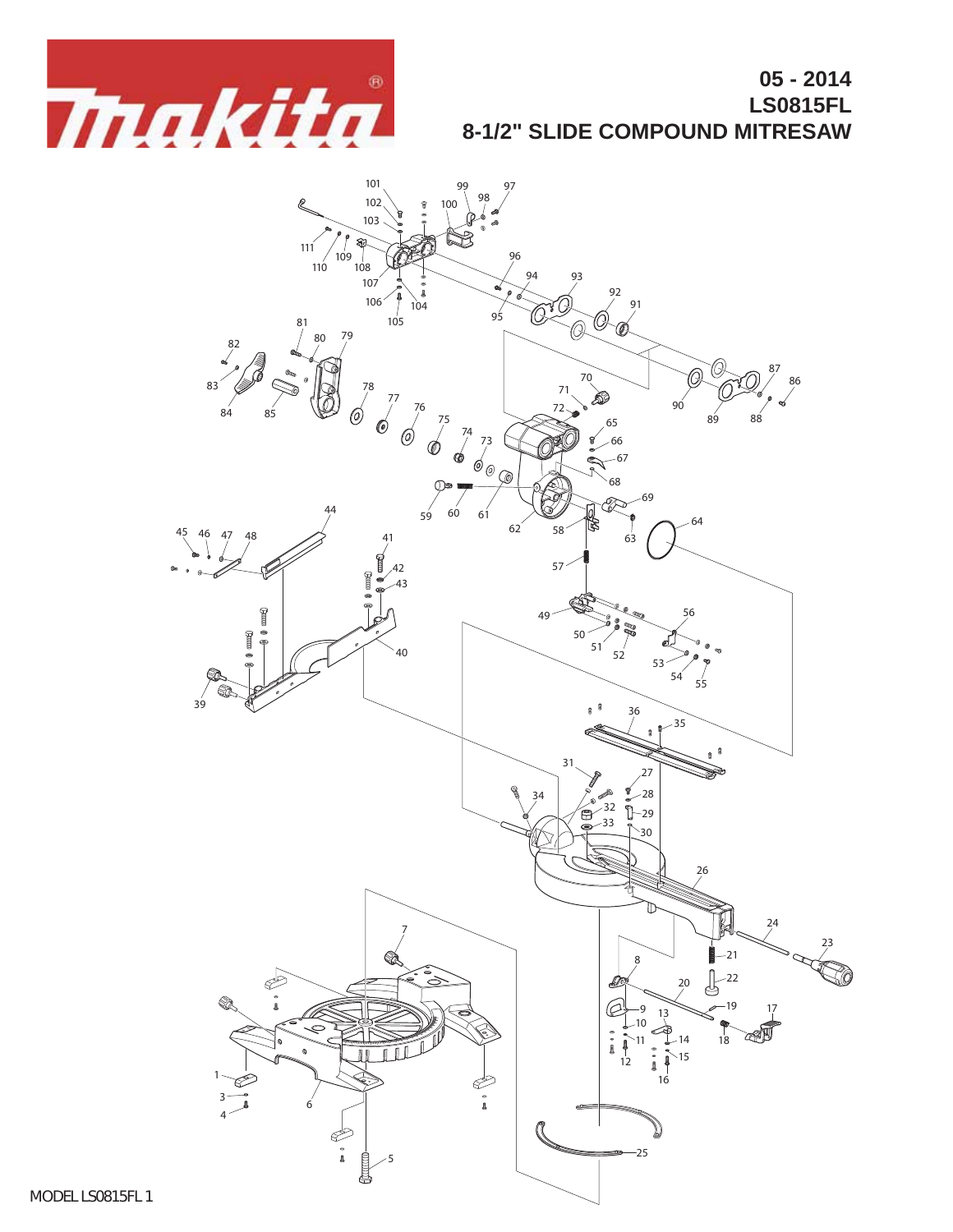

## **05 - 2014 LS0815FL 8-1/2" SLIDE COMPOUND MITRESAW**

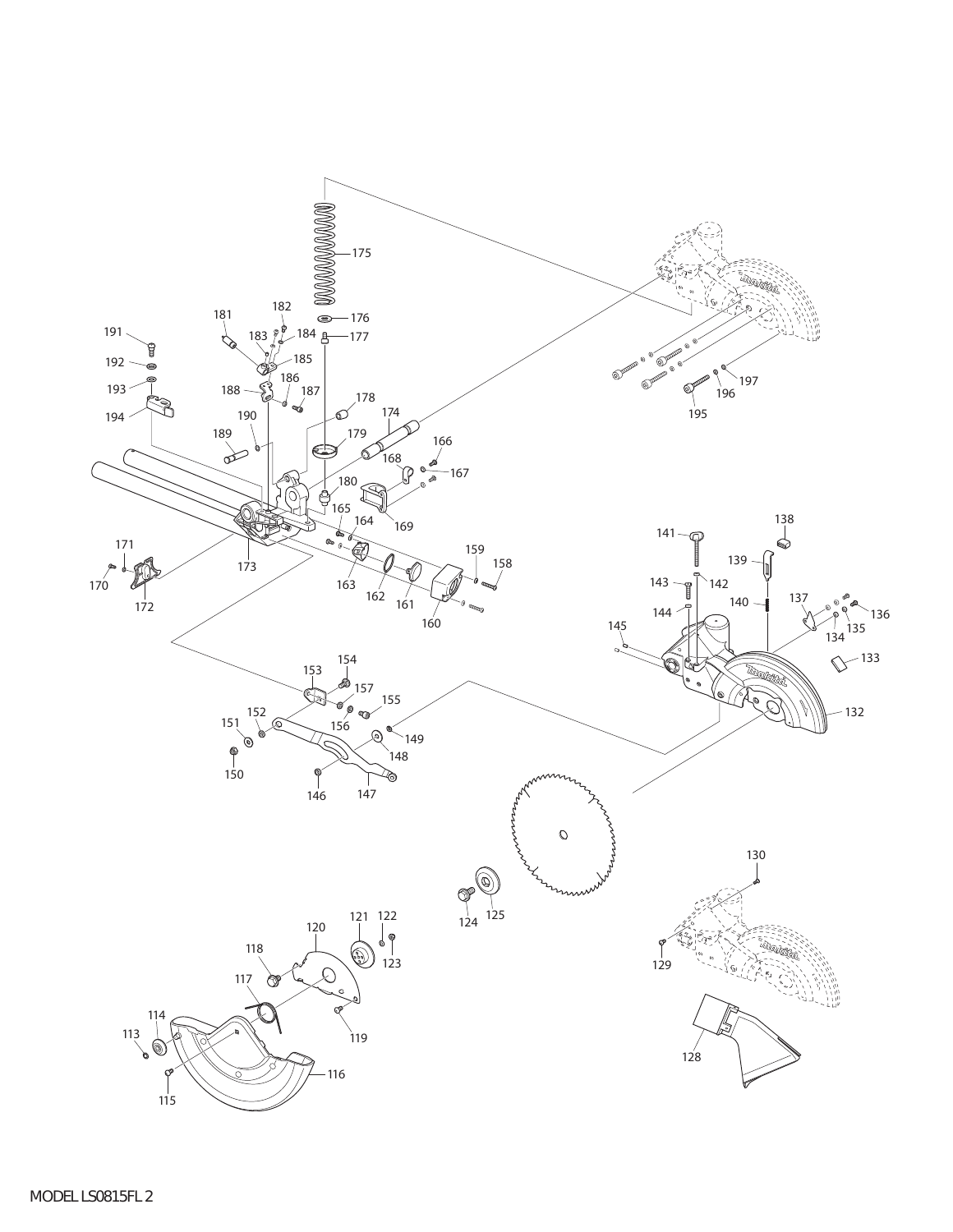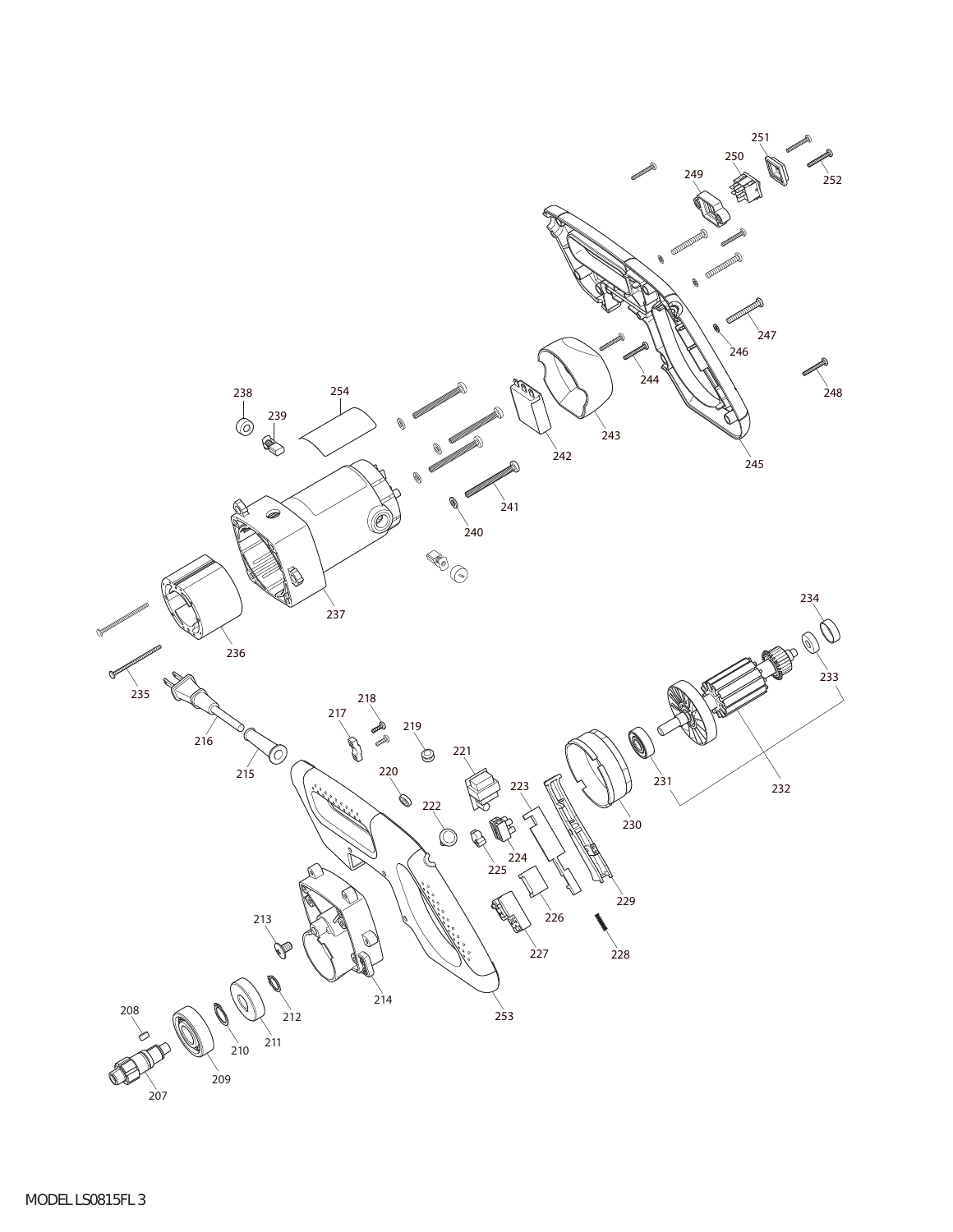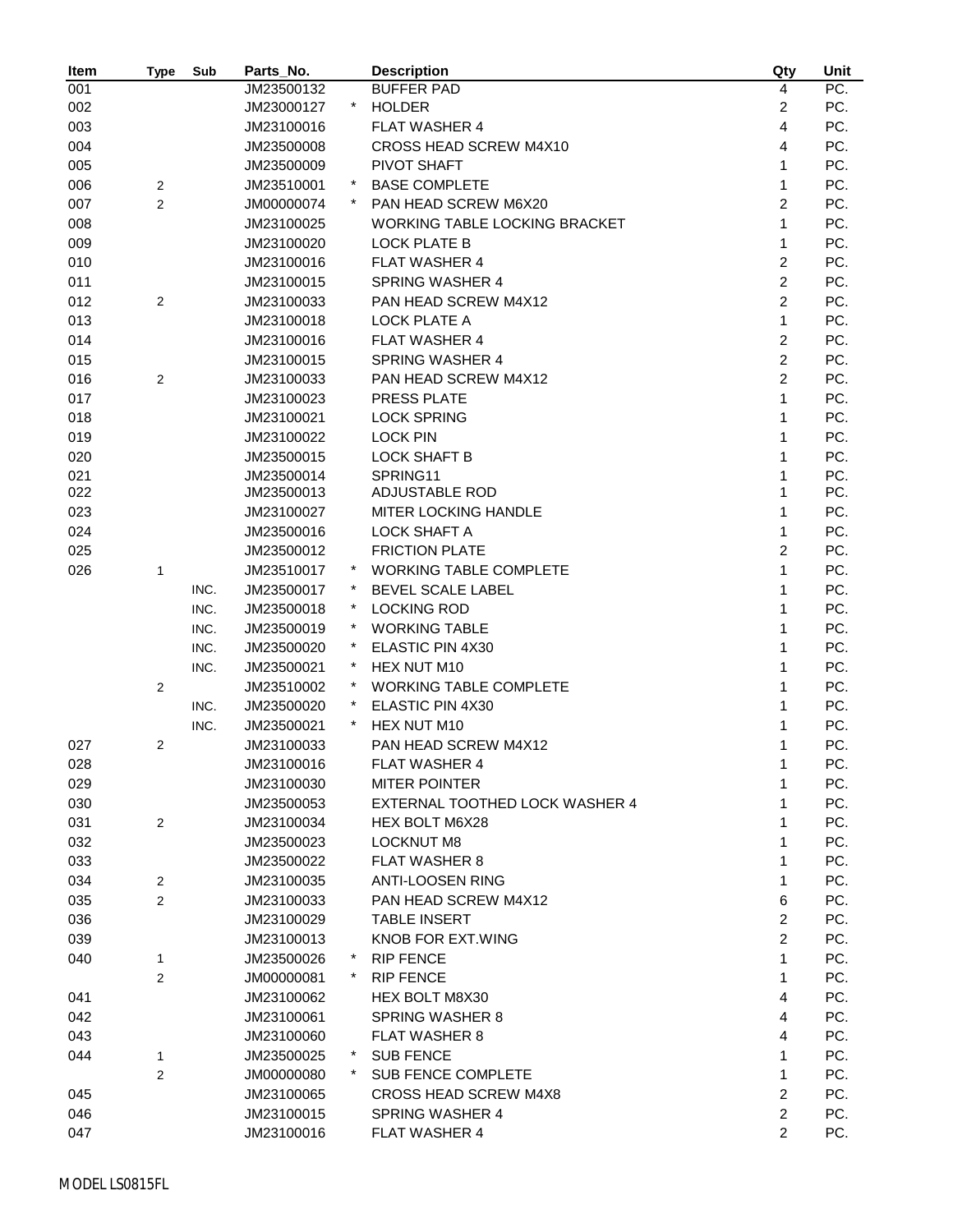| Item | Type           | Sub  | Parts_No.  |         | <b>Description</b>                   | Qty                     | Unit |
|------|----------------|------|------------|---------|--------------------------------------|-------------------------|------|
| 001  |                |      | JM23500132 |         | <b>BUFFER PAD</b>                    | 4                       | PC.  |
| 002  |                |      | JM23000127 |         | <b>HOLDER</b>                        | $\overline{\mathbf{c}}$ | PC.  |
| 003  |                |      | JM23100016 |         | <b>FLAT WASHER 4</b>                 | 4                       | PC.  |
| 004  |                |      | JM23500008 |         | CROSS HEAD SCREW M4X10               | 4                       | PC.  |
| 005  |                |      | JM23500009 |         | PIVOT SHAFT                          | $\mathbf{1}$            | PC.  |
| 006  | 2              |      | JM23510001 |         | <b>BASE COMPLETE</b>                 | $\mathbf{1}$            | PC.  |
| 007  | 2              |      | JM00000074 |         | PAN HEAD SCREW M6X20                 | 2                       | PC.  |
| 008  |                |      | JM23100025 |         | <b>WORKING TABLE LOCKING BRACKET</b> | $\mathbf{1}$            | PC.  |
| 009  |                |      | JM23100020 |         | <b>LOCK PLATE B</b>                  | $\mathbf{1}$            | PC.  |
| 010  |                |      | JM23100016 |         | <b>FLAT WASHER 4</b>                 | 2                       | PC.  |
| 011  |                |      | JM23100015 |         | <b>SPRING WASHER 4</b>               | $\overline{2}$          | PC.  |
| 012  | 2              |      | JM23100033 |         | PAN HEAD SCREW M4X12                 | $\overline{c}$          | PC.  |
| 013  |                |      | JM23100018 |         | <b>LOCK PLATE A</b>                  | 1                       | PC.  |
| 014  |                |      | JM23100016 |         | <b>FLAT WASHER 4</b>                 | $\overline{c}$          | PC.  |
| 015  |                |      | JM23100015 |         | <b>SPRING WASHER 4</b>               | $\overline{c}$          | PC.  |
| 016  | 2              |      | JM23100033 |         | PAN HEAD SCREW M4X12                 | $\overline{c}$          | PC.  |
| 017  |                |      | JM23100023 |         | PRESS PLATE                          | $\mathbf{1}$            | PC.  |
| 018  |                |      | JM23100021 |         | <b>LOCK SPRING</b>                   | $\mathbf{1}$            | PC.  |
| 019  |                |      | JM23100022 |         | <b>LOCK PIN</b>                      | 1                       | PC.  |
| 020  |                |      | JM23500015 |         | <b>LOCK SHAFT B</b>                  | 1                       | PC.  |
| 021  |                |      | JM23500014 |         | SPRING11                             | 1                       | PC.  |
| 022  |                |      | JM23500013 |         | <b>ADJUSTABLE ROD</b>                | 1                       | PC.  |
| 023  |                |      | JM23100027 |         | MITER LOCKING HANDLE                 | 1                       | PC.  |
| 024  |                |      | JM23500016 |         | <b>LOCK SHAFT A</b>                  | $\mathbf{1}$            | PC.  |
| 025  |                |      | JM23500012 |         | <b>FRICTION PLATE</b>                | $\overline{c}$          | PC.  |
| 026  | 1              |      | JM23510017 |         | <b>WORKING TABLE COMPLETE</b>        | 1                       | PC.  |
|      |                | INC. | JM23500017 |         | BEVEL SCALE LABEL                    | 1                       | PC.  |
|      |                | INC. | JM23500018 |         | <b>LOCKING ROD</b>                   | 1                       | PC.  |
|      |                | INC. | JM23500019 |         | <b>WORKING TABLE</b>                 | 1                       | PC.  |
|      |                | INC. | JM23500020 | $\star$ | ELASTIC PIN 4X30                     | 1                       | PC.  |
|      |                | INC. | JM23500021 |         | HEX NUT M10                          | 1                       | PC.  |
|      | $\overline{2}$ |      | JM23510002 |         | <b>WORKING TABLE COMPLETE</b>        | 1                       | PC.  |
|      |                | INC. | JM23500020 |         | <b>ELASTIC PIN 4X30</b>              | 1                       | PC.  |
|      |                | INC. | JM23500021 |         | HEX NUT M10                          | 1                       | PC.  |
| 027  | 2              |      | JM23100033 |         | PAN HEAD SCREW M4X12                 | 1                       | PC.  |
| 028  |                |      | JM23100016 |         | FLAT WASHER 4                        | 1                       | PC.  |
| 029  |                |      | JM23100030 |         | <b>MITER POINTER</b>                 | 1                       | PC.  |
| 030  |                |      | JM23500053 |         | EXTERNAL TOOTHED LOCK WASHER 4       | 1                       | PC.  |
| 031  | $\sqrt{2}$     |      | JM23100034 |         | HEX BOLT M6X28                       | 1                       | PC.  |
| 032  |                |      | JM23500023 |         | <b>LOCKNUT M8</b>                    | 1                       | PC.  |
| 033  |                |      | JM23500022 |         | <b>FLAT WASHER 8</b>                 | 1                       | PC.  |
| 034  | $\mathbf{2}$   |      | JM23100035 |         | <b>ANTI-LOOSEN RING</b>              | 1                       | PC.  |
|      | $\overline{2}$ |      |            |         | PAN HEAD SCREW M4X12                 | 6                       | PC.  |
| 035  |                |      | JM23100033 |         | <b>TABLE INSERT</b>                  | $\boldsymbol{2}$        | PC.  |
| 036  |                |      | JM23100029 |         |                                      |                         |      |
| 039  |                |      | JM23100013 |         | KNOB FOR EXT. WING                   | 2                       | PC.  |
| 040  | 1              |      | JM23500026 |         | <b>RIP FENCE</b>                     | $\mathbf{1}$            | PC.  |
|      | 2              |      | JM00000081 |         | <b>RIP FENCE</b>                     | 1                       | PC.  |
| 041  |                |      | JM23100062 |         | HEX BOLT M8X30                       | 4                       | PC.  |
| 042  |                |      | JM23100061 |         | <b>SPRING WASHER 8</b>               | 4                       | PC.  |
| 043  |                |      | JM23100060 |         | <b>FLAT WASHER 8</b>                 | 4                       | PC.  |
| 044  | 1              |      | JM23500025 |         | <b>SUB FENCE</b>                     | 1                       | PC.  |
|      | 2              |      | JM00000080 |         | SUB FENCE COMPLETE                   | 1                       | PC.  |
| 045  |                |      | JM23100065 |         | <b>CROSS HEAD SCREW M4X8</b>         | 2                       | PC.  |
| 046  |                |      | JM23100015 |         | <b>SPRING WASHER 4</b>               | 2                       | PC.  |
| 047  |                |      | JM23100016 |         | <b>FLAT WASHER 4</b>                 | 2                       | PC.  |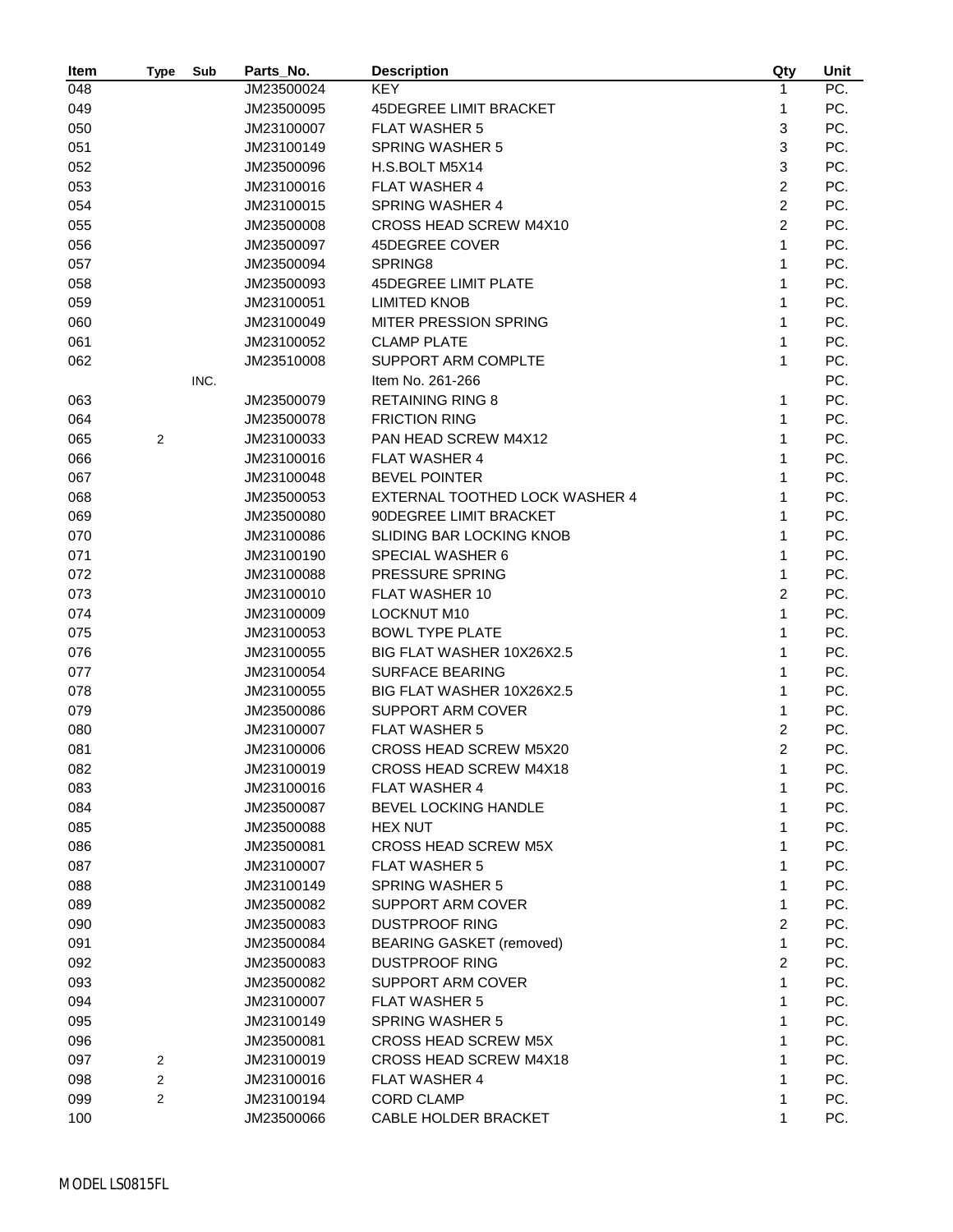| Item | Type           | Sub  | Parts_No.  | <b>Description</b>              | Qty            | Unit |
|------|----------------|------|------------|---------------------------------|----------------|------|
| 048  |                |      | JM23500024 | <b>KEY</b>                      | 1              | PC.  |
| 049  |                |      | JM23500095 | <b>45DEGREE LIMIT BRACKET</b>   | 1              | PC.  |
| 050  |                |      | JM23100007 | <b>FLAT WASHER 5</b>            | 3              | PC.  |
| 051  |                |      | JM23100149 | <b>SPRING WASHER 5</b>          | 3              | PC.  |
| 052  |                |      | JM23500096 | H.S.BOLT M5X14                  | 3              | PC.  |
| 053  |                |      | JM23100016 | <b>FLAT WASHER 4</b>            | 2              | PC.  |
| 054  |                |      | JM23100015 | <b>SPRING WASHER 4</b>          | $\overline{2}$ | PC.  |
| 055  |                |      | JM23500008 | CROSS HEAD SCREW M4X10          | $\overline{c}$ | PC.  |
| 056  |                |      | JM23500097 | 45DEGREE COVER                  | 1              | PC.  |
| 057  |                |      | JM23500094 | SPRING8                         | 1              | PC.  |
| 058  |                |      | JM23500093 | <b>45DEGREE LIMIT PLATE</b>     | 1              | PC.  |
| 059  |                |      | JM23100051 | <b>LIMITED KNOB</b>             | 1              | PC.  |
| 060  |                |      | JM23100049 | MITER PRESSION SPRING           | 1              | PC.  |
| 061  |                |      | JM23100052 | <b>CLAMP PLATE</b>              | 1              | PC.  |
| 062  |                |      | JM23510008 | SUPPORT ARM COMPLTE             | 1              | PC.  |
|      |                | INC. |            | Item No. 261-266                |                | PC.  |
| 063  |                |      | JM23500079 | <b>RETAINING RING 8</b>         | 1              | PC.  |
| 064  |                |      | JM23500078 | <b>FRICTION RING</b>            | 1              | PC.  |
| 065  | $\overline{2}$ |      | JM23100033 | PAN HEAD SCREW M4X12            | 1              | PC.  |
| 066  |                |      | JM23100016 | <b>FLAT WASHER 4</b>            | 1              | PC.  |
| 067  |                |      | JM23100048 | <b>BEVEL POINTER</b>            | 1              | PC.  |
| 068  |                |      | JM23500053 | EXTERNAL TOOTHED LOCK WASHER 4  | 1              | PC.  |
| 069  |                |      | JM23500080 | 90DEGREE LIMIT BRACKET          | 1              | PC.  |
|      |                |      | JM23100086 | <b>SLIDING BAR LOCKING KNOB</b> | 1              | PC.  |
| 070  |                |      |            |                                 | 1              | PC.  |
| 071  |                |      | JM23100190 | SPECIAL WASHER 6                | 1              |      |
| 072  |                |      | JM23100088 | PRESSURE SPRING                 |                | PC.  |
| 073  |                |      | JM23100010 | FLAT WASHER 10                  | 2              | PC.  |
| 074  |                |      | JM23100009 | <b>LOCKNUT M10</b>              | $\mathbf{1}$   | PC.  |
| 075  |                |      | JM23100053 | <b>BOWL TYPE PLATE</b>          | 1              | PC.  |
| 076  |                |      | JM23100055 | BIG FLAT WASHER 10X26X2.5       | 1              | PC.  |
| 077  |                |      | JM23100054 | <b>SURFACE BEARING</b>          | 1              | PC.  |
| 078  |                |      | JM23100055 | BIG FLAT WASHER 10X26X2.5       | 1              | PC.  |
| 079  |                |      | JM23500086 | SUPPORT ARM COVER               | 1              | PC.  |
| 080  |                |      | JM23100007 | <b>FLAT WASHER 5</b>            | 2              | PC.  |
| 081  |                |      | JM23100006 | CROSS HEAD SCREW M5X20          | $\overline{c}$ | PC.  |
| 082  |                |      | JM23100019 | CROSS HEAD SCREW M4X18          | 1              | PC.  |
| 083  |                |      | JM23100016 | <b>FLAT WASHER 4</b>            | 1              | PC.  |
| 084  |                |      | JM23500087 | BEVEL LOCKING HANDLE            | 1              | PC.  |
| 085  |                |      | JM23500088 | <b>HEX NUT</b>                  | 1              | PC.  |
| 086  |                |      | JM23500081 | <b>CROSS HEAD SCREW M5X</b>     | 1              | PC.  |
| 087  |                |      | JM23100007 | <b>FLAT WASHER 5</b>            | 1              | PC.  |
| 088  |                |      | JM23100149 | <b>SPRING WASHER 5</b>          | 1              | PC.  |
| 089  |                |      | JM23500082 | <b>SUPPORT ARM COVER</b>        | 1              | PC.  |
| 090  |                |      | JM23500083 | <b>DUSTPROOF RING</b>           | 2              | PC.  |
| 091  |                |      | JM23500084 | <b>BEARING GASKET (removed)</b> | 1              | PC.  |
| 092  |                |      | JM23500083 | <b>DUSTPROOF RING</b>           | 2              | PC.  |
| 093  |                |      | JM23500082 | SUPPORT ARM COVER               | 1              | PC.  |
| 094  |                |      | JM23100007 | <b>FLAT WASHER 5</b>            | 1              | PC.  |
| 095  |                |      | JM23100149 | <b>SPRING WASHER 5</b>          | 1              | PC.  |
| 096  |                |      | JM23500081 | <b>CROSS HEAD SCREW M5X</b>     | 1              | PC.  |
| 097  | 2              |      | JM23100019 | <b>CROSS HEAD SCREW M4X18</b>   | 1              | PC.  |
| 098  | 2              |      | JM23100016 | <b>FLAT WASHER 4</b>            | 1              | PC.  |
| 099  | 2              |      | JM23100194 | <b>CORD CLAMP</b>               | 1              | PC.  |
| 100  |                |      | JM23500066 | CABLE HOLDER BRACKET            | 1              | PC.  |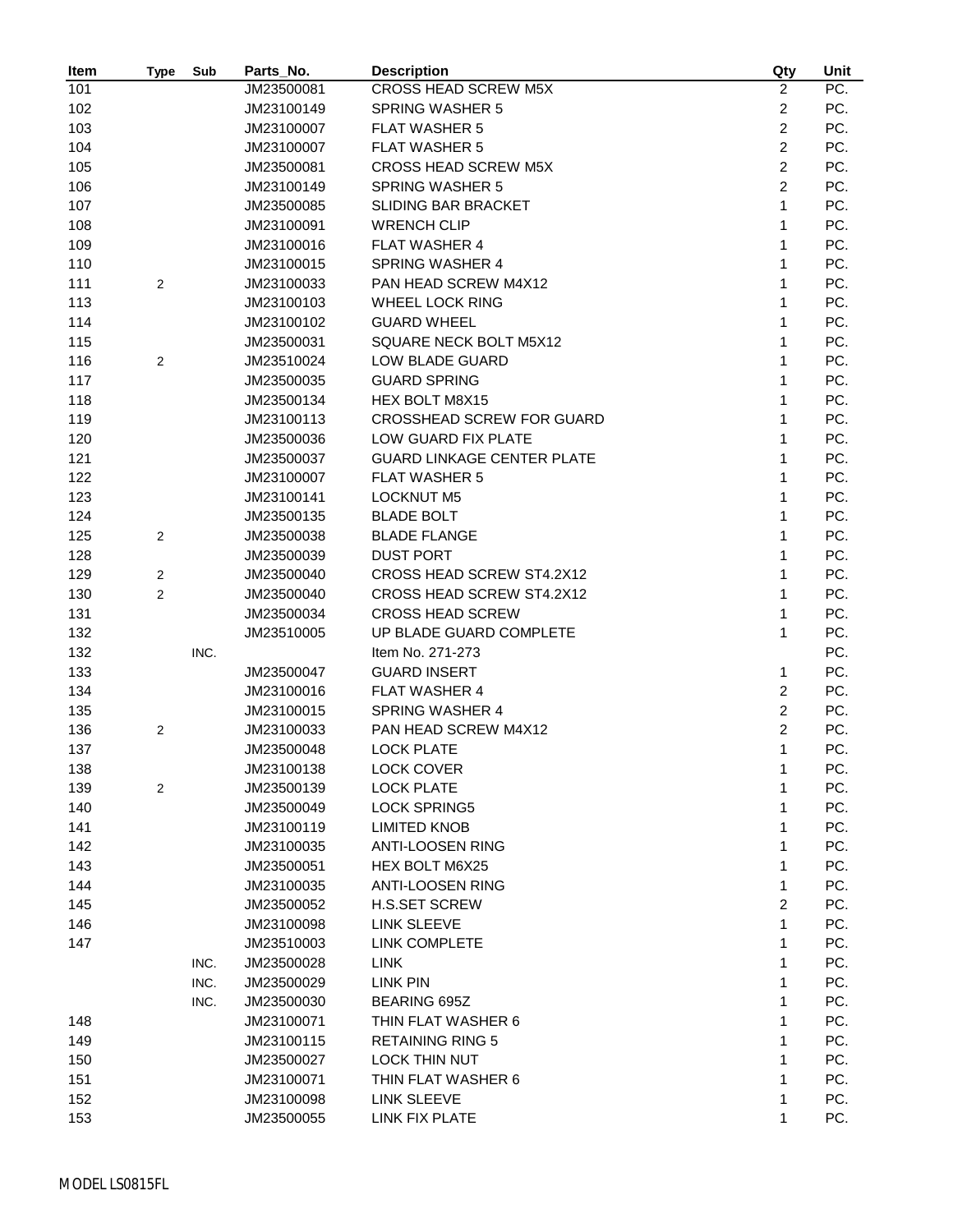| Item | Type           | Sub  | Parts_No.                | <b>Description</b>                        | Qty              | Unit |
|------|----------------|------|--------------------------|-------------------------------------------|------------------|------|
| 101  |                |      | JM23500081               | CROSS HEAD SCREW M5X                      | $\overline{2}$   | PC.  |
| 102  |                |      | JM23100149               | <b>SPRING WASHER 5</b>                    | $\boldsymbol{2}$ | PC.  |
| 103  |                |      | JM23100007               | <b>FLAT WASHER 5</b>                      | $\overline{2}$   | PC.  |
| 104  |                |      | JM23100007               | <b>FLAT WASHER 5</b>                      | $\overline{2}$   | PC.  |
| 105  |                |      | JM23500081               | <b>CROSS HEAD SCREW M5X</b>               | $\overline{2}$   | PC.  |
| 106  |                |      | JM23100149               | <b>SPRING WASHER 5</b>                    | $\overline{2}$   | PC.  |
| 107  |                |      | JM23500085               | SLIDING BAR BRACKET                       | $\mathbf{1}$     | PC.  |
| 108  |                |      | JM23100091               | <b>WRENCH CLIP</b>                        | 1                | PC.  |
| 109  |                |      | JM23100016               | <b>FLAT WASHER 4</b>                      | $\mathbf{1}$     | PC.  |
| 110  |                |      | JM23100015               | <b>SPRING WASHER 4</b>                    | $\mathbf{1}$     | PC.  |
| 111  | 2              |      | JM23100033               | PAN HEAD SCREW M4X12                      | 1                | PC.  |
| 113  |                |      | JM23100103               | <b>WHEEL LOCK RING</b>                    | 1                | PC.  |
| 114  |                |      | JM23100102               | <b>GUARD WHEEL</b>                        | 1                | PC.  |
| 115  |                |      | JM23500031               | SQUARE NECK BOLT M5X12                    | 1                | PC.  |
| 116  | 2              |      | JM23510024               | LOW BLADE GUARD                           | 1                | PC.  |
| 117  |                |      | JM23500035               | <b>GUARD SPRING</b>                       | $\mathbf{1}$     | PC.  |
| 118  |                |      | JM23500134               | HEX BOLT M8X15                            | $\mathbf{1}$     | PC.  |
| 119  |                |      | JM23100113               | CROSSHEAD SCREW FOR GUARD                 | 1                | PC.  |
| 120  |                |      | JM23500036               | LOW GUARD FIX PLATE                       | $\mathbf{1}$     | PC.  |
| 121  |                |      | JM23500037               | <b>GUARD LINKAGE CENTER PLATE</b>         | 1                | PC.  |
| 122  |                |      | JM23100007               | <b>FLAT WASHER 5</b>                      | $\mathbf{1}$     | PC.  |
| 123  |                |      | JM23100141               | <b>LOCKNUT M5</b>                         | $\mathbf{1}$     | PC.  |
| 124  |                |      | JM23500135               | <b>BLADE BOLT</b>                         | $\mathbf{1}$     | PC.  |
| 125  | 2              |      | JM23500038               | <b>BLADE FLANGE</b>                       | 1                | PC.  |
| 128  |                |      | JM23500039               | <b>DUST PORT</b>                          | 1                | PC.  |
| 129  | $\overline{2}$ |      | JM23500040               | CROSS HEAD SCREW ST4.2X12                 | 1                | PC.  |
| 130  | $\overline{2}$ |      | JM23500040               | CROSS HEAD SCREW ST4.2X12                 | $\mathbf{1}$     | PC.  |
| 131  |                |      | JM23500034               | <b>CROSS HEAD SCREW</b>                   | $\mathbf{1}$     | PC.  |
| 132  |                |      | JM23510005               | UP BLADE GUARD COMPLETE                   | $\mathbf{1}$     | PC.  |
| 132  |                | INC. |                          | Item No. 271-273                          |                  | PC.  |
| 133  |                |      | JM23500047               | <b>GUARD INSERT</b>                       | $\mathbf{1}$     | PC.  |
| 134  |                |      | JM23100016               | <b>FLAT WASHER 4</b>                      | 2                | PC.  |
| 135  |                |      | JM23100015               | <b>SPRING WASHER 4</b>                    | 2                | PC.  |
| 136  | 2              |      | JM23100033               | PAN HEAD SCREW M4X12                      | $\overline{c}$   | PC.  |
| 137  |                |      | JM23500048               | <b>LOCK PLATE</b>                         | $\mathbf{1}$     | PC.  |
| 138  |                |      | JM23100138               | LOCK COVER                                | 1                | PC.  |
|      | 2              |      | JM23500139               | <b>LOCK PLATE</b>                         | 1                | PC.  |
| 139  |                |      |                          | <b>LOCK SPRING5</b>                       | 1                | PC.  |
| 140  |                |      | JM23500049               | <b>LIMITED KNOB</b>                       |                  | PC.  |
| 141  |                |      | JM23100119               |                                           | 1                | PC.  |
| 142  |                |      | JM23100035<br>JM23500051 | <b>ANTI-LOOSEN RING</b>                   | 1                | PC.  |
| 143  |                |      | JM23100035               | HEX BOLT M6X25<br><b>ANTI-LOOSEN RING</b> | $\mathbf{1}$     |      |
| 144  |                |      |                          | <b>H.S.SET SCREW</b>                      | 1                | PC.  |
| 145  |                |      | JM23500052               |                                           | $\overline{c}$   | PC.  |
| 146  |                |      | JM23100098               | LINK SLEEVE                               | $\mathbf{1}$     | PC.  |
| 147  |                |      | JM23510003               | <b>LINK COMPLETE</b>                      | 1                | PC.  |
|      |                | INC. | JM23500028               | <b>LINK</b>                               | 1                | PC.  |
|      |                | INC. | JM23500029               | LINK PIN                                  | 1                | PC.  |
|      |                | INC. | JM23500030               | <b>BEARING 695Z</b>                       | 1                | PC.  |
| 148  |                |      | JM23100071               | THIN FLAT WASHER 6                        | 1                | PC.  |
| 149  |                |      | JM23100115               | <b>RETAINING RING 5</b>                   | 1                | PC.  |
| 150  |                |      | JM23500027               | <b>LOCK THIN NUT</b>                      | 1                | PC.  |
| 151  |                |      | JM23100071               | THIN FLAT WASHER 6                        | 1                | PC.  |
| 152  |                |      | JM23100098               | LINK SLEEVE                               | 1                | PC.  |
| 153  |                |      | JM23500055               | LINK FIX PLATE                            | 1                | PC.  |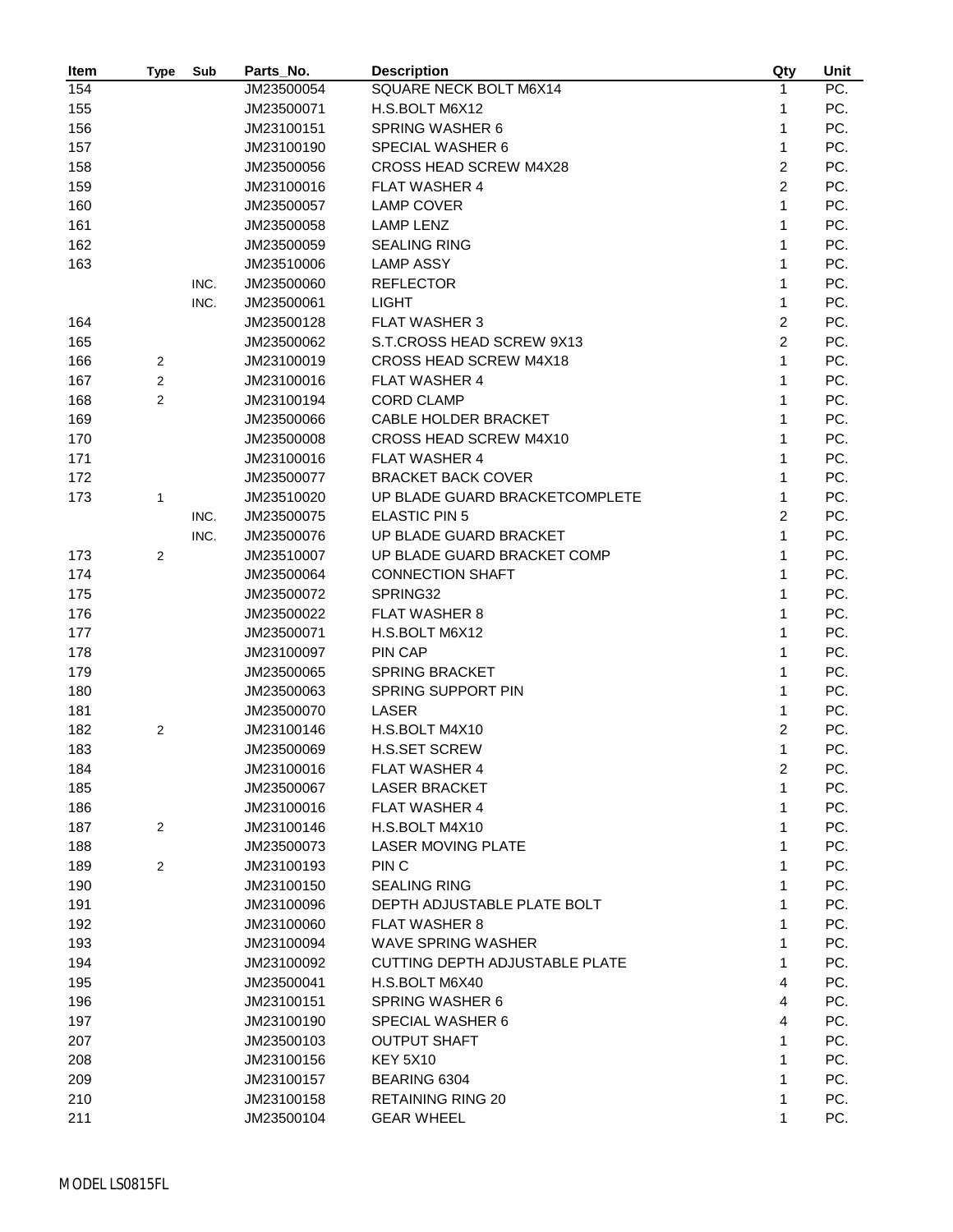| Item       | Type           | Sub  | Parts_No.  | <b>Description</b>             | Qty            | Unit |
|------------|----------------|------|------------|--------------------------------|----------------|------|
| 154        |                |      | JM23500054 | SQUARE NECK BOLT M6X14         | 1              | PC.  |
| 155        |                |      | JM23500071 | H.S.BOLT M6X12                 | 1              | PC.  |
| 156        |                |      | JM23100151 | <b>SPRING WASHER 6</b>         | 1              | PC.  |
| 157        |                |      | JM23100190 | <b>SPECIAL WASHER 6</b>        | $\mathbf{1}$   | PC.  |
| 158        |                |      | JM23500056 | <b>CROSS HEAD SCREW M4X28</b>  | $\overline{2}$ | PC.  |
| 159        |                |      | JM23100016 | <b>FLAT WASHER 4</b>           | $\overline{2}$ | PC.  |
| 160        |                |      | JM23500057 | <b>LAMP COVER</b>              | $\mathbf{1}$   | PC.  |
| 161        |                |      | JM23500058 | <b>LAMP LENZ</b>               | 1              | PC.  |
| 162        |                |      | JM23500059 | <b>SEALING RING</b>            | 1              | PC.  |
| 163        |                |      | JM23510006 | <b>LAMP ASSY</b>               | 1              | PC.  |
|            |                | INC. | JM23500060 | <b>REFLECTOR</b>               | 1              | PC.  |
|            |                | INC. | JM23500061 | <b>LIGHT</b>                   | $\mathbf{1}$   | PC.  |
| 164        |                |      | JM23500128 | <b>FLAT WASHER 3</b>           | $\overline{c}$ | PC.  |
| 165        |                |      | JM23500062 | S.T.CROSS HEAD SCREW 9X13      | $\overline{c}$ | PC.  |
| 166        | $\mathbf{2}$   |      | JM23100019 | CROSS HEAD SCREW M4X18         | $\mathbf{1}$   | PC.  |
| 167        | $\overline{2}$ |      | JM23100016 | <b>FLAT WASHER 4</b>           | 1              | PC.  |
| 168        | 2              |      | JM23100194 | <b>CORD CLAMP</b>              | $\mathbf{1}$   | PC.  |
| 169        |                |      | JM23500066 | CABLE HOLDER BRACKET           | 1              | PC.  |
| 170        |                |      | JM23500008 | CROSS HEAD SCREW M4X10         | 1              | PC.  |
| 171        |                |      | JM23100016 | <b>FLAT WASHER 4</b>           | $\mathbf{1}$   | PC.  |
| 172        |                |      | JM23500077 | <b>BRACKET BACK COVER</b>      | 1              | PC.  |
| 173        | 1              |      | JM23510020 | UP BLADE GUARD BRACKETCOMPLETE | 1              | PC.  |
|            |                | INC. | JM23500075 | <b>ELASTIC PIN 5</b>           | $\overline{c}$ | PC.  |
|            |                | INC. | JM23500076 | UP BLADE GUARD BRACKET         | 1              | PC.  |
| 173        | 2              |      | JM23510007 | UP BLADE GUARD BRACKET COMP    | 1              | PC.  |
| 174        |                |      | JM23500064 | <b>CONNECTION SHAFT</b>        | 1              | PC.  |
| 175        |                |      | JM23500072 | SPRING32                       | 1              | PC.  |
| 176        |                |      | JM23500022 | <b>FLAT WASHER 8</b>           | 1              | PC.  |
| 177        |                |      | JM23500071 | H.S.BOLT M6X12                 | 1              | PC.  |
| 178        |                |      | JM23100097 | PIN CAP                        | 1              | PC.  |
| 179        |                |      | JM23500065 | <b>SPRING BRACKET</b>          | 1              | PC.  |
| 180        |                |      | JM23500063 | SPRING SUPPORT PIN             | 1              | PC.  |
| 181        |                |      | JM23500070 | LASER                          | $\mathbf{1}$   | PC.  |
| 182        | $\overline{c}$ |      | JM23100146 | H.S.BOLT M4X10                 | 2              | PC.  |
| 183        |                |      | JM23500069 | <b>H.S.SET SCREW</b>           | 1              | PC.  |
| 184        |                |      | JM23100016 | <b>FLAT WASHER 4</b>           | $\overline{c}$ | PC.  |
| 185        |                |      | JM23500067 | <b>LASER BRACKET</b>           | 1              | PC.  |
| 186        |                |      | JM23100016 | <b>FLAT WASHER 4</b>           | 1              | PC.  |
| 187        | 2              |      | JM23100146 | H.S.BOLT M4X10                 | 1              | PC.  |
| 188        |                |      | JM23500073 | <b>LASER MOVING PLATE</b>      | 1              | PC.  |
| 189        | 2              |      | JM23100193 | PIN <sub>C</sub>               | 1              | PC.  |
| 190        |                |      | JM23100150 | <b>SEALING RING</b>            | 1              | PC.  |
| 191        |                |      | JM23100096 | DEPTH ADJUSTABLE PLATE BOLT    | 1              | PC.  |
|            |                |      | JM23100060 | <b>FLAT WASHER 8</b>           | 1              | PC.  |
| 192        |                |      | JM23100094 | <b>WAVE SPRING WASHER</b>      | 1              | PC.  |
| 193<br>194 |                |      |            | CUTTING DEPTH ADJUSTABLE PLATE | 1              | PC.  |
|            |                |      | JM23100092 |                                | 4              |      |
| 195        |                |      | JM23500041 | H.S.BOLT M6X40                 |                | PC.  |
| 196        |                |      | JM23100151 | <b>SPRING WASHER 6</b>         | 4              | PC.  |
| 197        |                |      | JM23100190 | SPECIAL WASHER 6               | 4              | PC.  |
| 207        |                |      | JM23500103 | <b>OUTPUT SHAFT</b>            | 1              | PC.  |
| 208        |                |      | JM23100156 | <b>KEY 5X10</b>                | 1              | PC.  |
| 209        |                |      | JM23100157 | BEARING 6304                   | 1              | PC.  |
| 210        |                |      | JM23100158 | <b>RETAINING RING 20</b>       | 1              | PC.  |
| 211        |                |      | JM23500104 | <b>GEAR WHEEL</b>              | 1              | PC.  |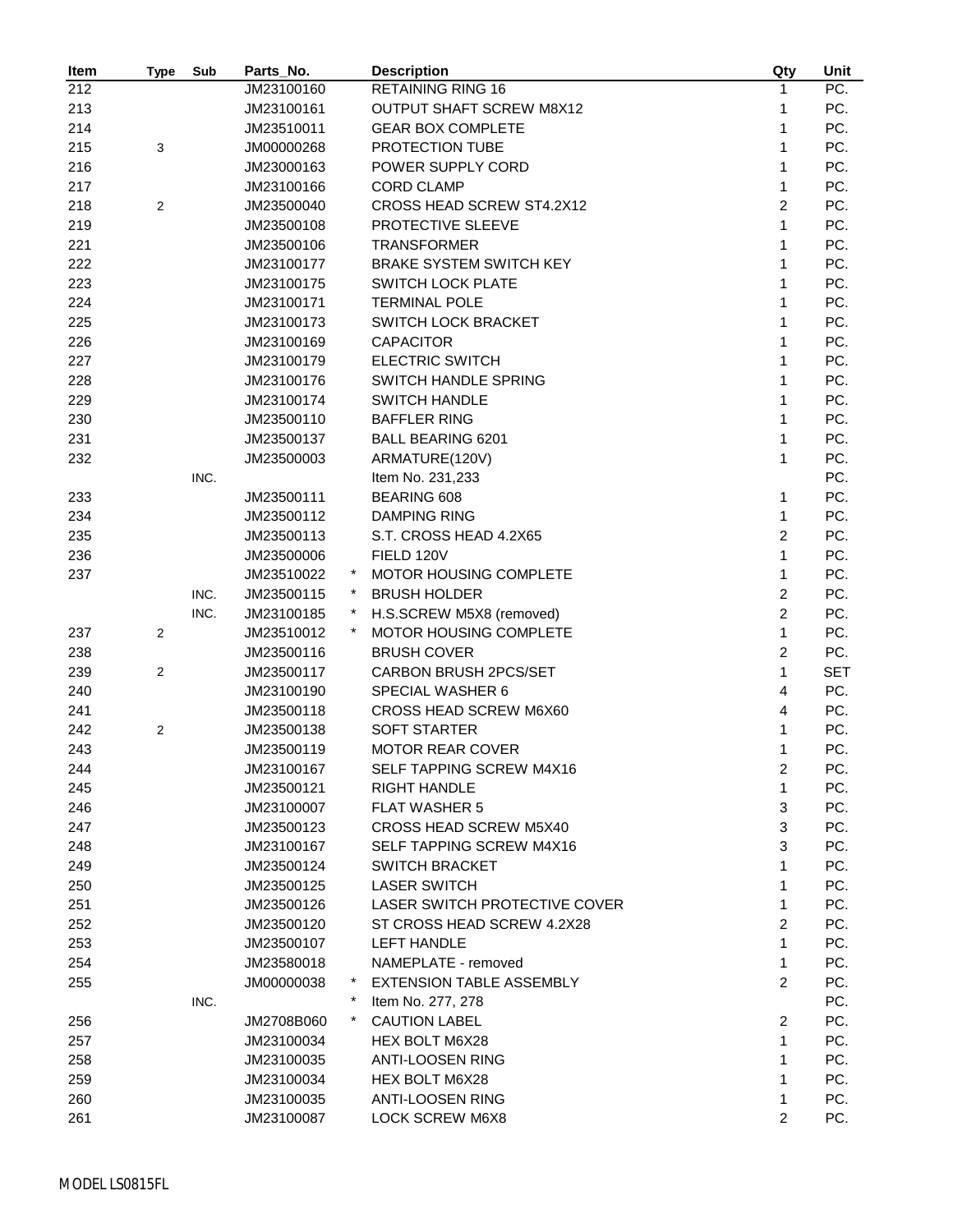| Item | Type           | Sub  | Parts_No.  |           | <b>Description</b>              | Qty            | Unit       |
|------|----------------|------|------------|-----------|---------------------------------|----------------|------------|
| 212  |                |      | JM23100160 |           | <b>RETAINING RING 16</b>        | 1              | PC.        |
| 213  |                |      | JM23100161 |           | <b>OUTPUT SHAFT SCREW M8X12</b> | 1              | PC.        |
| 214  |                |      | JM23510011 |           | <b>GEAR BOX COMPLETE</b>        | 1              | PC.        |
| 215  | 3              |      | JM00000268 |           | PROTECTION TUBE                 | 1              | PC.        |
| 216  |                |      | JM23000163 |           | POWER SUPPLY CORD               | 1              | PC.        |
| 217  |                |      | JM23100166 |           | <b>CORD CLAMP</b>               | 1              | PC.        |
| 218  | 2              |      | JM23500040 |           | CROSS HEAD SCREW ST4.2X12       | $\overline{c}$ | PC.        |
| 219  |                |      | JM23500108 |           | PROTECTIVE SLEEVE               | 1              | PC.        |
| 221  |                |      | JM23500106 |           | <b>TRANSFORMER</b>              | 1              | PC.        |
| 222  |                |      | JM23100177 |           | <b>BRAKE SYSTEM SWITCH KEY</b>  | 1              | PC.        |
| 223  |                |      | JM23100175 |           | <b>SWITCH LOCK PLATE</b>        | 1              | PC.        |
| 224  |                |      | JM23100171 |           | <b>TERMINAL POLE</b>            | 1              | PC.        |
| 225  |                |      | JM23100173 |           | SWITCH LOCK BRACKET             | 1              | PC.        |
| 226  |                |      | JM23100169 |           | <b>CAPACITOR</b>                | 1              | PC.        |
| 227  |                |      | JM23100179 |           | <b>ELECTRIC SWITCH</b>          | 1              | PC.        |
| 228  |                |      | JM23100176 |           | SWITCH HANDLE SPRING            | 1              | PC.        |
| 229  |                |      | JM23100174 |           | <b>SWITCH HANDLE</b>            | 1              | PC.        |
| 230  |                |      | JM23500110 |           | <b>BAFFLER RING</b>             | 1              | PC.        |
| 231  |                |      | JM23500137 |           | <b>BALL BEARING 6201</b>        | 1              | PC.        |
| 232  |                |      | JM23500003 |           | ARMATURE(120V)                  | $\mathbf{1}$   | PC.        |
|      |                | INC. |            |           | Item No. 231,233                |                | PC.        |
| 233  |                |      | JM23500111 |           | <b>BEARING 608</b>              | 1              | PC.        |
| 234  |                |      | JM23500112 |           | <b>DAMPING RING</b>             | $\mathbf{1}$   | PC.        |
| 235  |                |      | JM23500113 |           | S.T. CROSS HEAD 4.2X65          | $\overline{c}$ | PC.        |
| 236  |                |      | JM23500006 |           | FIELD 120V                      | 1              | PC.        |
| 237  |                |      | JM23510022 |           | MOTOR HOUSING COMPLETE          | 1              | PC.        |
|      |                | INC. | JM23500115 |           | <b>BRUSH HOLDER</b>             | $\overline{c}$ | PC.        |
|      |                | INC. | JM23100185 | $\ast$    | H.S.SCREW M5X8 (removed)        | $\overline{2}$ | PC.        |
| 237  | $\overline{c}$ |      | JM23510012 |           | MOTOR HOUSING COMPLETE          | 1              | PC.        |
| 238  |                |      | JM23500116 |           | <b>BRUSH COVER</b>              | $\overline{c}$ | PC.        |
| 239  | 2              |      | JM23500117 |           | CARBON BRUSH 2PCS/SET           | 1              | <b>SET</b> |
| 240  |                |      | JM23100190 |           | SPECIAL WASHER 6                | 4              | PC.        |
| 241  |                |      | JM23500118 |           | CROSS HEAD SCREW M6X60          | 4              | PC.        |
| 242  | 2              |      | JM23500138 |           | <b>SOFT STARTER</b>             | 1              | PC.        |
| 243  |                |      | JM23500119 |           | <b>MOTOR REAR COVER</b>         | 1              | PC.        |
| 244  |                |      | JM23100167 |           | SELF TAPPING SCREW M4X16        | $\overline{c}$ | PC.        |
| 245  |                |      | JM23500121 |           | <b>RIGHT HANDLE</b>             | 1              | PC.        |
| 246  |                |      | JM23100007 |           | <b>FLAT WASHER 5</b>            | 3              | PC.        |
| 247  |                |      | JM23500123 |           | CROSS HEAD SCREW M5X40          | $\mathbf{3}$   | PC.        |
| 248  |                |      | JM23100167 |           | SELF TAPPING SCREW M4X16        | 3              | PC.        |
| 249  |                |      | JM23500124 |           | <b>SWITCH BRACKET</b>           | 1              | PC.        |
| 250  |                |      | JM23500125 |           | <b>LASER SWITCH</b>             | 1              | PC.        |
| 251  |                |      | JM23500126 |           | LASER SWITCH PROTECTIVE COVER   | 1              | PC.        |
| 252  |                |      | JM23500120 |           | ST CROSS HEAD SCREW 4.2X28      | $\overline{c}$ | PC.        |
| 253  |                |      | JM23500107 |           | <b>LEFT HANDLE</b>              | 1              | PC.        |
| 254  |                |      | JM23580018 |           | NAMEPLATE - removed             | 1              | PC.        |
| 255  |                |      | JM00000038 | $\ast$    | <b>EXTENSION TABLE ASSEMBLY</b> | $\overline{2}$ | PC.        |
|      |                | INC. |            |           | Item No. 277, 278               |                | PC.        |
| 256  |                |      | JM2708B060 | $^{\ast}$ | <b>CAUTION LABEL</b>            | $\overline{c}$ | PC.        |
| 257  |                |      | JM23100034 |           | HEX BOLT M6X28                  | 1              | PC.        |
| 258  |                |      | JM23100035 |           | <b>ANTI-LOOSEN RING</b>         | 1              | PC.        |
| 259  |                |      | JM23100034 |           | HEX BOLT M6X28                  | 1              | PC.        |
| 260  |                |      | JM23100035 |           | <b>ANTI-LOOSEN RING</b>         | 1              | PC.        |
| 261  |                |      | JM23100087 |           | <b>LOCK SCREW M6X8</b>          | $\overline{c}$ | PC.        |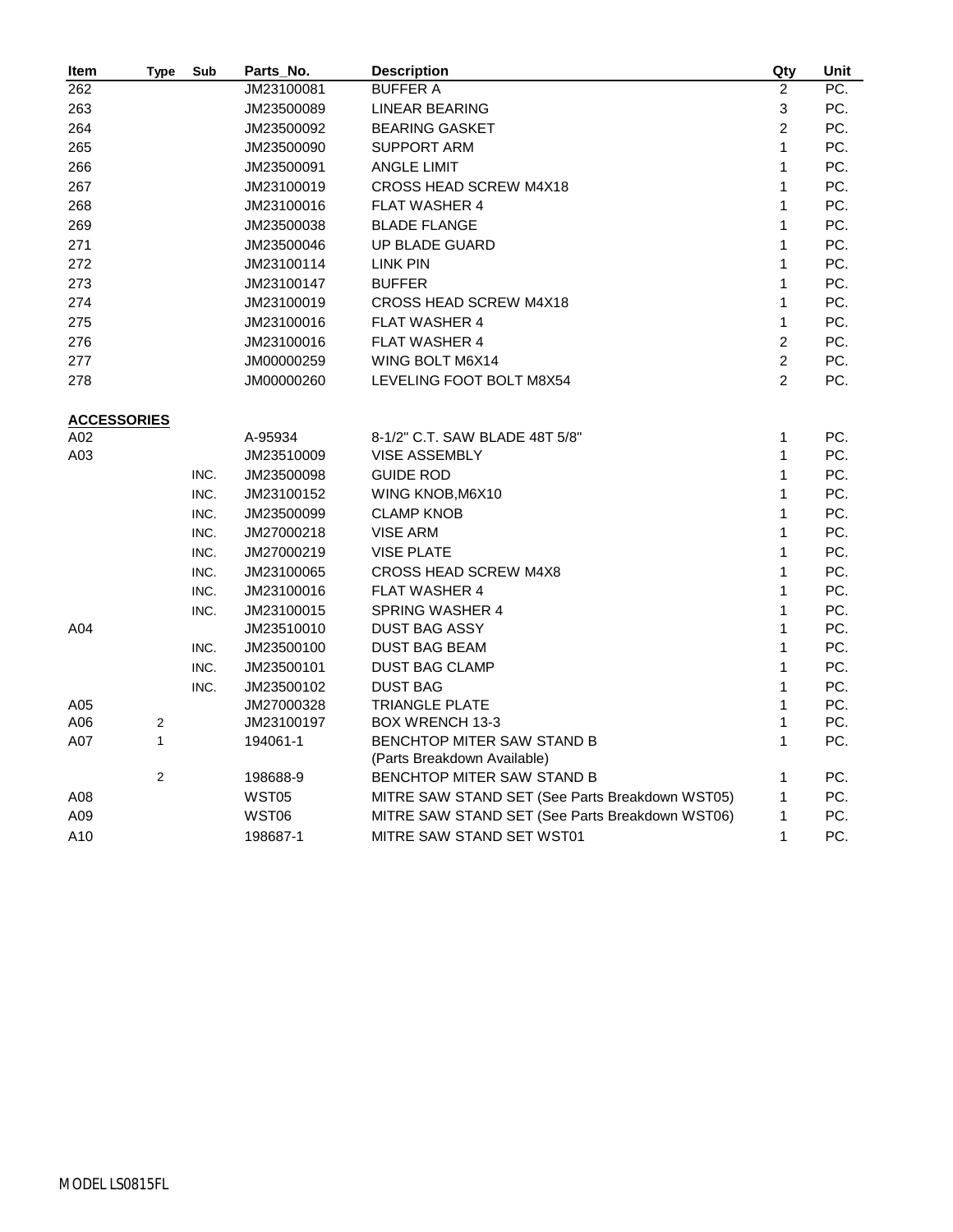| Item               | <b>Type</b>             | Sub          | Parts_No.                | <b>Description</b>                              | Qty            | Unit       |
|--------------------|-------------------------|--------------|--------------------------|-------------------------------------------------|----------------|------------|
| 262                |                         |              | JM23100081               | <b>BUFFER A</b>                                 | $\overline{2}$ | PC.        |
| 263                |                         |              | JM23500089               | LINEAR BEARING                                  | 3              | PC.        |
| 264                |                         |              | JM23500092               | <b>BEARING GASKET</b>                           | $\overline{2}$ | PC.        |
| 265                |                         |              | JM23500090               | SUPPORT ARM                                     | $\mathbf{1}$   | PC.        |
| 266                |                         |              | JM23500091               | <b>ANGLE LIMIT</b>                              | $\mathbf{1}$   | PC.        |
| 267                |                         |              | JM23100019               | CROSS HEAD SCREW M4X18                          | $\mathbf{1}$   | PC.        |
| 268                |                         |              | JM23100016               | FLAT WASHER 4                                   | $\mathbf{1}$   | PC.        |
| 269                |                         |              | JM23500038               | <b>BLADE FLANGE</b>                             | $\mathbf{1}$   | PC.        |
| 271                |                         |              | JM23500046               | <b>UP BLADE GUARD</b>                           | 1              | PC.        |
| 272                |                         |              | JM23100114               | LINK PIN                                        | $\mathbf{1}$   | PC.        |
| 273                |                         |              | JM23100147               | <b>BUFFER</b>                                   | $\mathbf{1}$   | PC.        |
| 274                |                         |              | JM23100019               | <b>CROSS HEAD SCREW M4X18</b>                   | $\mathbf{1}$   | PC.        |
| 275                |                         |              | JM23100016               | <b>FLAT WASHER 4</b>                            | $\mathbf{1}$   | PC.        |
| 276                |                         |              | JM23100016               | <b>FLAT WASHER 4</b>                            | $\overline{2}$ | PC.        |
| 277                |                         |              | JM00000259               | WING BOLT M6X14                                 | $\overline{c}$ | PC.        |
| 278                |                         |              | JM00000260               | LEVELING FOOT BOLT M8X54                        | $\overline{2}$ | PC.        |
|                    |                         |              |                          |                                                 |                |            |
| <b>ACCESSORIES</b> |                         |              |                          |                                                 |                |            |
| A02                |                         |              | A-95934                  | 8-1/2" C.T. SAW BLADE 48T 5/8"                  | $\mathbf{1}$   | PC.        |
| A03                |                         |              | JM23510009               | <b>VISE ASSEMBLY</b>                            | $\mathbf{1}$   | PC.        |
|                    |                         | INC.         | JM23500098               | <b>GUIDE ROD</b>                                | 1              | PC.        |
|                    |                         | INC.         | JM23100152               | WING KNOB, M6X10                                | $\mathbf{1}$   | PC.        |
|                    |                         | INC.         | JM23500099               | <b>CLAMP KNOB</b>                               | 1              | PC.        |
|                    |                         | INC.         | JM27000218               | <b>VISE ARM</b>                                 | $\mathbf{1}$   | PC.        |
|                    |                         | INC.         | JM27000219               | <b>VISE PLATE</b>                               | 1              | PC.        |
|                    |                         | INC.         | JM23100065               | <b>CROSS HEAD SCREW M4X8</b>                    | 1              | PC.        |
|                    |                         | INC.         | JM23100016               | FLAT WASHER 4                                   | 1              | PC.        |
|                    |                         | INC.         | JM23100015               | <b>SPRING WASHER 4</b>                          | 1              | PC.        |
| A04                |                         |              | JM23510010               | <b>DUST BAG ASSY</b>                            | 1<br>1         | PC.<br>PC. |
|                    |                         | INC.<br>INC. | JM23500100               | <b>DUST BAG BEAM</b>                            | $\mathbf{1}$   | PC.        |
|                    |                         |              | JM23500101               | <b>DUST BAG CLAMP</b><br><b>DUST BAG</b>        | 1              | PC.        |
| A05                |                         | INC.         | JM23500102<br>JM27000328 | <b>TRIANGLE PLATE</b>                           | $\mathbf{1}$   | PC.        |
| A06                | $\overline{2}$          |              | JM23100197               | <b>BOX WRENCH 13-3</b>                          | 1              | PC.        |
| A07                | $\mathbf{1}$            |              | 194061-1                 | <b>BENCHTOP MITER SAW STAND B</b>               | 1              | PC.        |
|                    |                         |              |                          | (Parts Breakdown Available)                     |                |            |
|                    | $\overline{\mathbf{c}}$ |              | 198688-9                 | BENCHTOP MITER SAW STAND B                      | 1              | PC.        |
| A08                |                         |              | WST05                    | MITRE SAW STAND SET (See Parts Breakdown WST05) | $\mathbf{1}$   | PC.        |
| A09                |                         |              | WST06                    | MITRE SAW STAND SET (See Parts Breakdown WST06) | 1              | PC.        |
| A10                |                         |              | 198687-1                 | MITRE SAW STAND SET WST01                       | 1              | PC.        |
|                    |                         |              |                          |                                                 |                |            |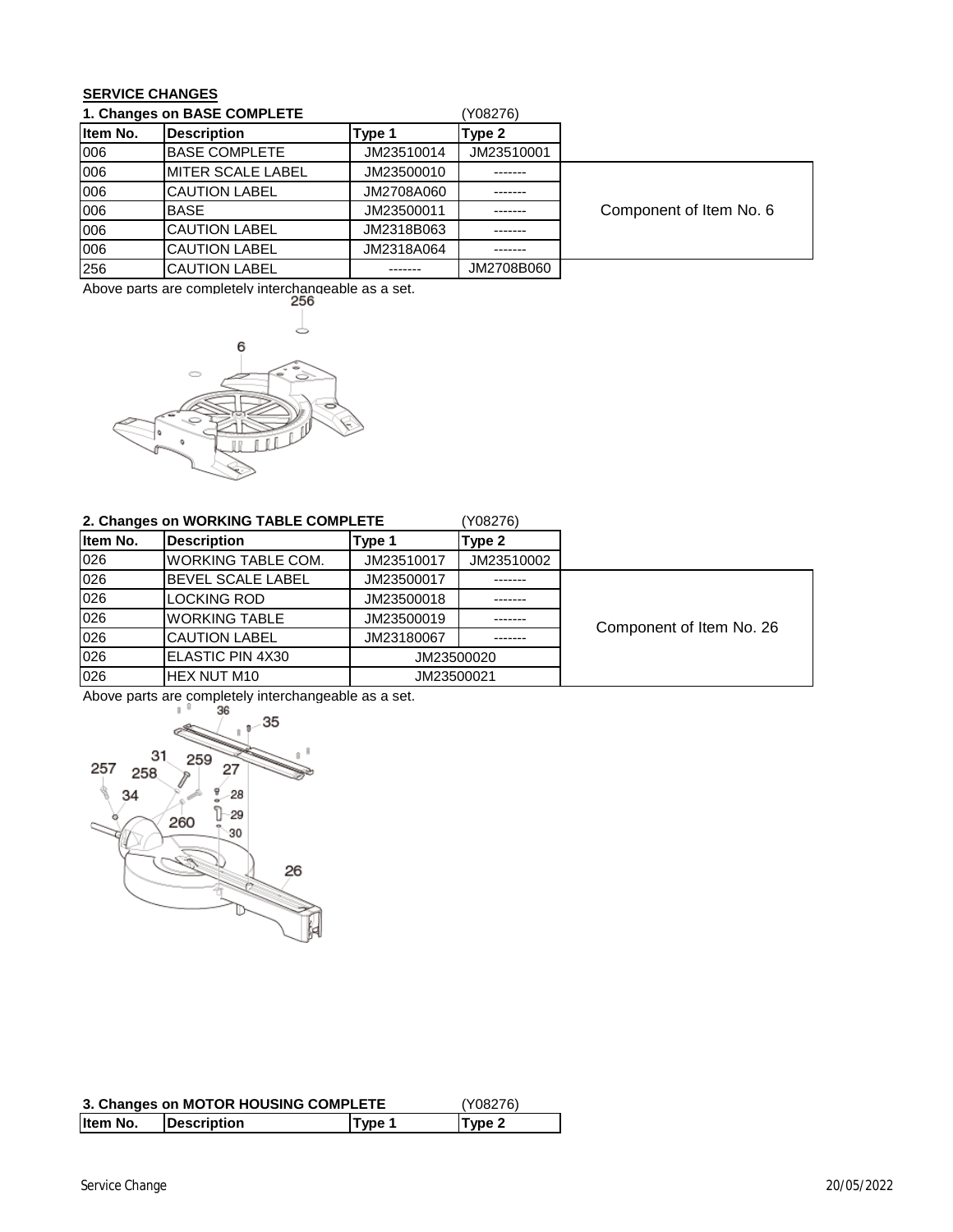## **SERVICE CHANGES**

| 1. Changes on BASE COMPLETE |                           |            | (Y08276)   |                         |
|-----------------------------|---------------------------|------------|------------|-------------------------|
| Item No.                    | <b>Description</b>        | Type 1     | Type 2     |                         |
| 006                         | <b>IBASE COMPLETE</b>     | JM23510014 | JM23510001 |                         |
| 006                         | <b>IMITER SCALE LABEL</b> | JM23500010 |            |                         |
| 006                         | <b>CAUTION LABEL</b>      | JM2708A060 |            |                         |
| 006                         | <b>BASE</b>               | JM23500011 |            | Component of Item No. 6 |
| 006                         | <b>CAUTION LABEL</b>      | JM2318B063 |            |                         |
| 006                         | <b>CAUTION LABEL</b>      | JM2318A064 |            |                         |
| 256                         | <b>CAUTION LABEL</b>      |            | JM2708B060 |                         |

Above parts are completely interchangeable as a set.



## **2. Changes on WORKING TABLE COMPLETE**

| (Y08276) |  |
|----------|--|
|----------|--|

| Item No. | <b>Description</b>        | Type 1     | Type 2     |                          |
|----------|---------------------------|------------|------------|--------------------------|
| 026      | <b>WORKING TABLE COM.</b> | JM23510017 | JM23510002 |                          |
| 026      | <b>BEVEL SCALE LABEL</b>  | JM23500017 | -------    |                          |
| 026      | LOCKING ROD               | JM23500018 |            |                          |
| 026      | <b>WORKING TABLE</b>      | JM23500019 |            | Component of Item No. 26 |
| 026      | <b>CAUTION LABEL</b>      | JM23180067 |            |                          |
| 026      | ELASTIC PIN 4X30          |            | JM23500020 |                          |
| 026      | <b>IHEX NUT M10</b>       | JM23500021 |            |                          |

Above parts are completely interchangeable as a set.<br> $\frac{1}{1}$   $\frac{36}{1}$  -



| 3. Changes on MOTOR HOUSING COMPLETE | (Y08276)    |               |                   |
|--------------------------------------|-------------|---------------|-------------------|
| Iltem No.                            | Description | <b>Type 1</b> | Type <sub>2</sub> |